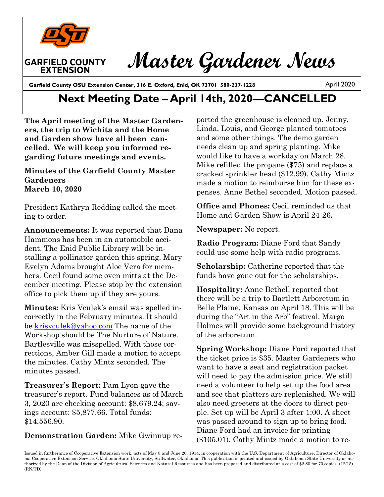

# **Master Gardener News**

Garfield County OSU Extension Center, 316 E. Oxford, Enid, OK 73701 580-237-1228

April 2020

## **Next Meeting Date – April 14th, 2020—CANCELLED**

**The April meeting of the Master Gardeners, the trip to Wichita and the Home and Garden show have all been cancelled. We will keep you informed regarding future meetings and events.** 

#### **Minutes of the Garfield County Master Gardeners March 10, 2020**

President Kathryn Redding called the meeting to order.

**Announcements:** It was reported that Dana Hammons has been in an automobile accident. The Enid Public Library will be installing a pollinator garden this spring. Mary Evelyn Adams brought Aloe Vera for members. Cecil found some oven mitts at the December meeting. Please stop by the extension office to pick them up if they are yours.

**Minutes:** Kris Vculek's email was spelled incorrectly in the February minutes. It should be [krisvculek@yahoo.com](mailto:krisvculek@yahoo.com) The name of the Workshop should be The Nurture of Nature. Bartlesville was misspelled. With those corrections, Amber Gill made a motion to accept the minutes. Cathy Mintz seconded. The minutes passed.

**Treasurer's Report:** Pam Lyon gave the treasurer's report. Fund balances as of March 3, 2020 are checking account: \$8,679.24; savings account: \$5,877.66. Total funds: \$14,556.90.

#### **Demonstration Garden:** Mike Gwinnup re-

ported the greenhouse is cleaned up. Jenny, Linda, Louis, and George planted tomatoes and some other things. The demo garden needs clean up and spring planting. Mike would like to have a workday on March 28. Mike refilled the propane (\$75) and replace a cracked sprinkler head (\$12.99). Cathy Mintz made a motion to reimburse him for these expenses. Anne Bethel seconded. Motion passed.

**Office and Phones:** Cecil reminded us that Home and Garden Show is April 24-26**.**

**Newspaper:** No report.

**Radio Program:** Diane Ford that Sandy could use some help with radio programs.

**Scholarship:** Catherine reported that the funds have gone out for the scholarships.

**Hospitality:** Anne Bethell reported that there will be a trip to Bartlett Arboretum in Belle Plaine, Kansas on April 18. This will be during the "Art in the Arb" festival. Margo Holmes will provide some background history of the arboretum.

**Spring Workshop:** Diane Ford reported that the ticket price is \$35. Master Gardeners who want to have a seat and registration packet will need to pay the admission price. We still need a volunteer to help set up the food area and see that platters are replenished. We will also need greeters at the doors to direct people. Set up will be April 3 after 1:00. A sheet was passed around to sign up to bring food. Diane Ford had an invoice for printing (\$105.01). Cathy Mintz made a motion to re-

Issued in furtherance of Cooperative Extension work, acts of May 8 and June 20, 1914, in cooperation with the U.S. Department of Agriculture, Director of Oklahoma Cooperative Extension Service, Oklahoma State University, Stillwater, Oklahoma. This publication is printed and issued by Oklahoma State University as authorized by the Dean of the Division of Agricultural Sciences and Natural Resources and has been prepared and distributed at a cost of \$2.80 for 70 copies (12/15) (RN/TD).